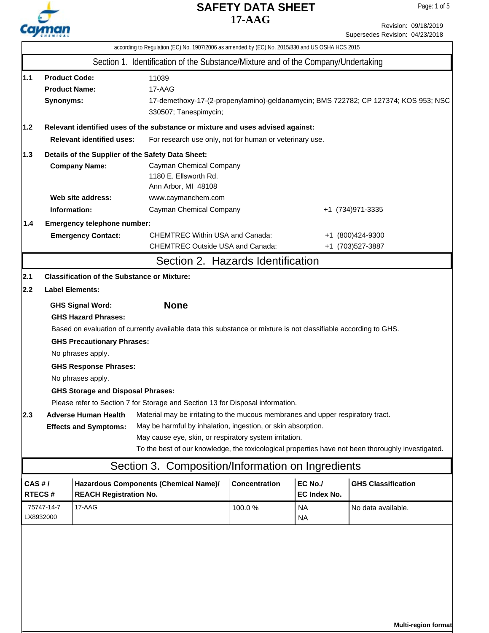

Revision: 09/18/2019 Supersedes Revision: 04/23/2018

| according to Regulation (EC) No. 1907/2006 as amended by (EC) No. 2015/830 and US OSHA HCS 2015                                                             |                                                                                                                                                                                                                                                                                                                                                                                                                                                                                                                                                                                                                                                                                                                                                                                                                       |                                                                        |                                                                                                              |                      |                         |                                      |  |  |
|-------------------------------------------------------------------------------------------------------------------------------------------------------------|-----------------------------------------------------------------------------------------------------------------------------------------------------------------------------------------------------------------------------------------------------------------------------------------------------------------------------------------------------------------------------------------------------------------------------------------------------------------------------------------------------------------------------------------------------------------------------------------------------------------------------------------------------------------------------------------------------------------------------------------------------------------------------------------------------------------------|------------------------------------------------------------------------|--------------------------------------------------------------------------------------------------------------|----------------------|-------------------------|--------------------------------------|--|--|
|                                                                                                                                                             |                                                                                                                                                                                                                                                                                                                                                                                                                                                                                                                                                                                                                                                                                                                                                                                                                       |                                                                        | Section 1. Identification of the Substance/Mixture and of the Company/Undertaking                            |                      |                         |                                      |  |  |
| $1.1$<br><b>Product Code:</b><br>11039<br><b>Product Name:</b><br>17-AAG<br>Synonyms:<br>330507; Tanespimycin;                                              |                                                                                                                                                                                                                                                                                                                                                                                                                                                                                                                                                                                                                                                                                                                                                                                                                       |                                                                        | 17-demethoxy-17-(2-propenylamino)-geldanamycin; BMS 722782; CP 127374; KOS 953; NSC                          |                      |                         |                                      |  |  |
| 1.2                                                                                                                                                         |                                                                                                                                                                                                                                                                                                                                                                                                                                                                                                                                                                                                                                                                                                                                                                                                                       |                                                                        | Relevant identified uses of the substance or mixture and uses advised against:                               |                      |                         |                                      |  |  |
|                                                                                                                                                             | <b>Relevant identified uses:</b><br>For research use only, not for human or veterinary use.                                                                                                                                                                                                                                                                                                                                                                                                                                                                                                                                                                                                                                                                                                                           |                                                                        |                                                                                                              |                      |                         |                                      |  |  |
| Details of the Supplier of the Safety Data Sheet:<br>1.3<br><b>Company Name:</b><br>Cayman Chemical Company<br>1180 E. Ellsworth Rd.<br>Ann Arbor, MI 48108 |                                                                                                                                                                                                                                                                                                                                                                                                                                                                                                                                                                                                                                                                                                                                                                                                                       |                                                                        |                                                                                                              |                      |                         |                                      |  |  |
|                                                                                                                                                             | Information:                                                                                                                                                                                                                                                                                                                                                                                                                                                                                                                                                                                                                                                                                                                                                                                                          | Web site address:                                                      | www.caymanchem.com                                                                                           | +1 (734) 971-3335    |                         |                                      |  |  |
| 1.4                                                                                                                                                         |                                                                                                                                                                                                                                                                                                                                                                                                                                                                                                                                                                                                                                                                                                                                                                                                                       | Emergency telephone number:<br><b>Emergency Contact:</b>               | Cayman Chemical Company<br><b>CHEMTREC Within USA and Canada:</b><br><b>CHEMTREC Outside USA and Canada:</b> |                      |                         | +1 (800)424-9300<br>+1 (703)527-3887 |  |  |
|                                                                                                                                                             |                                                                                                                                                                                                                                                                                                                                                                                                                                                                                                                                                                                                                                                                                                                                                                                                                       |                                                                        | Section 2. Hazards Identification                                                                            |                      |                         |                                      |  |  |
| 2.1                                                                                                                                                         |                                                                                                                                                                                                                                                                                                                                                                                                                                                                                                                                                                                                                                                                                                                                                                                                                       | <b>Classification of the Substance or Mixture:</b>                     |                                                                                                              |                      |                         |                                      |  |  |
| 2.2                                                                                                                                                         |                                                                                                                                                                                                                                                                                                                                                                                                                                                                                                                                                                                                                                                                                                                                                                                                                       | <b>Label Elements:</b>                                                 |                                                                                                              |                      |                         |                                      |  |  |
| 2.3                                                                                                                                                         | <b>None</b><br><b>GHS Signal Word:</b><br><b>GHS Hazard Phrases:</b><br>Based on evaluation of currently available data this substance or mixture is not classifiable according to GHS.<br><b>GHS Precautionary Phrases:</b><br>No phrases apply.<br><b>GHS Response Phrases:</b><br>No phrases apply.<br><b>GHS Storage and Disposal Phrases:</b><br>Please refer to Section 7 for Storage and Section 13 for Disposal information.<br>Material may be irritating to the mucous membranes and upper respiratory tract.<br><b>Adverse Human Health</b><br>May be harmful by inhalation, ingestion, or skin absorption.<br><b>Effects and Symptoms:</b><br>May cause eye, skin, or respiratory system irritation.<br>To the best of our knowledge, the toxicological properties have not been thoroughly investigated. |                                                                        |                                                                                                              |                      |                         |                                      |  |  |
|                                                                                                                                                             |                                                                                                                                                                                                                                                                                                                                                                                                                                                                                                                                                                                                                                                                                                                                                                                                                       |                                                                        | Section 3. Composition/Information on Ingredients                                                            |                      |                         |                                      |  |  |
| CAS#/                                                                                                                                                       | <b>RTECS#</b>                                                                                                                                                                                                                                                                                                                                                                                                                                                                                                                                                                                                                                                                                                                                                                                                         | Hazardous Components (Chemical Name)/<br><b>REACH Registration No.</b> |                                                                                                              | <b>Concentration</b> | EC No./<br>EC Index No. | <b>GHS Classification</b>            |  |  |
|                                                                                                                                                             | 75747-14-7<br>LX8932000                                                                                                                                                                                                                                                                                                                                                                                                                                                                                                                                                                                                                                                                                                                                                                                               | 17-AAG                                                                 |                                                                                                              | 100.0%               | <b>NA</b><br><b>NA</b>  | No data available.                   |  |  |
|                                                                                                                                                             |                                                                                                                                                                                                                                                                                                                                                                                                                                                                                                                                                                                                                                                                                                                                                                                                                       |                                                                        |                                                                                                              |                      |                         |                                      |  |  |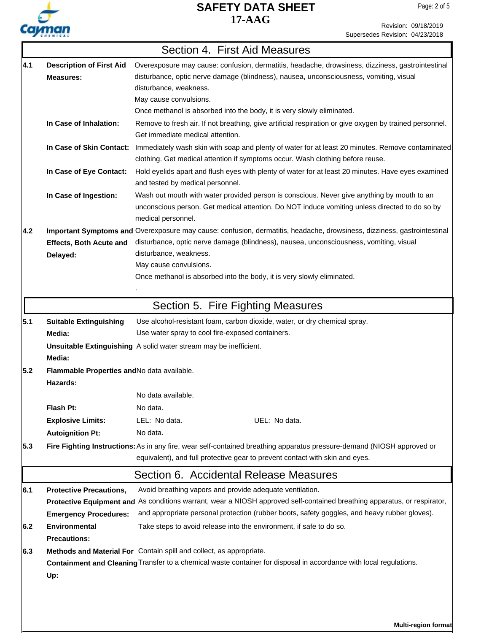

T.

### Revision: 09/18/2019 Supersedes Revision: 04/23/2018

|     |                                             | Section 4. First Aid Measures                                                                                                                                                                                     |  |  |  |  |
|-----|---------------------------------------------|-------------------------------------------------------------------------------------------------------------------------------------------------------------------------------------------------------------------|--|--|--|--|
| 4.1 | <b>Description of First Aid</b>             | Overexposure may cause: confusion, dermatitis, headache, drowsiness, dizziness, gastrointestinal                                                                                                                  |  |  |  |  |
|     | <b>Measures:</b>                            | disturbance, optic nerve damage (blindness), nausea, unconsciousness, vomiting, visual                                                                                                                            |  |  |  |  |
|     |                                             | disturbance, weakness.                                                                                                                                                                                            |  |  |  |  |
|     |                                             | May cause convulsions.                                                                                                                                                                                            |  |  |  |  |
|     |                                             | Once methanol is absorbed into the body, it is very slowly eliminated.                                                                                                                                            |  |  |  |  |
|     | In Case of Inhalation:                      | Remove to fresh air. If not breathing, give artificial respiration or give oxygen by trained personnel.<br>Get immediate medical attention.                                                                       |  |  |  |  |
|     | In Case of Skin Contact:                    | Immediately wash skin with soap and plenty of water for at least 20 minutes. Remove contaminated<br>clothing. Get medical attention if symptoms occur. Wash clothing before reuse.                                |  |  |  |  |
|     | In Case of Eye Contact:                     | Hold eyelids apart and flush eyes with plenty of water for at least 20 minutes. Have eyes examined<br>and tested by medical personnel.                                                                            |  |  |  |  |
|     | In Case of Ingestion:                       | Wash out mouth with water provided person is conscious. Never give anything by mouth to an<br>unconscious person. Get medical attention. Do NOT induce vomiting unless directed to do so by<br>medical personnel. |  |  |  |  |
| 4.2 |                                             | Important Symptoms and Overexposure may cause: confusion, dermatitis, headache, drowsiness, dizziness, gastrointestinal                                                                                           |  |  |  |  |
|     | <b>Effects, Both Acute and</b>              | disturbance, optic nerve damage (blindness), nausea, unconsciousness, vomiting, visual                                                                                                                            |  |  |  |  |
|     | Delayed:                                    | disturbance, weakness.                                                                                                                                                                                            |  |  |  |  |
|     |                                             | May cause convulsions.<br>Once methanol is absorbed into the body, it is very slowly eliminated.                                                                                                                  |  |  |  |  |
|     |                                             |                                                                                                                                                                                                                   |  |  |  |  |
|     |                                             | Section 5. Fire Fighting Measures                                                                                                                                                                                 |  |  |  |  |
| 5.1 | <b>Suitable Extinguishing</b>               | Use alcohol-resistant foam, carbon dioxide, water, or dry chemical spray.                                                                                                                                         |  |  |  |  |
|     | Media:                                      | Use water spray to cool fire-exposed containers.                                                                                                                                                                  |  |  |  |  |
|     | Media:                                      | Unsuitable Extinguishing A solid water stream may be inefficient.                                                                                                                                                 |  |  |  |  |
| 5.2 | Flammable Properties and No data available. |                                                                                                                                                                                                                   |  |  |  |  |
|     | Hazards:                                    |                                                                                                                                                                                                                   |  |  |  |  |
|     |                                             | No data available.                                                                                                                                                                                                |  |  |  |  |
|     | Flash Pt:                                   | No data.                                                                                                                                                                                                          |  |  |  |  |
|     | <b>Explosive Limits:</b>                    | LEL: No data.<br>UEL: No data.                                                                                                                                                                                    |  |  |  |  |
|     | <b>Autoignition Pt:</b>                     | No data.                                                                                                                                                                                                          |  |  |  |  |
| 5.3 |                                             | Fire Fighting Instructions: As in any fire, wear self-contained breathing apparatus pressure-demand (NIOSH approved or<br>equivalent), and full protective gear to prevent contact with skin and eyes.            |  |  |  |  |
|     |                                             | Section 6. Accidental Release Measures                                                                                                                                                                            |  |  |  |  |
| 6.1 | <b>Protective Precautions,</b>              | Avoid breathing vapors and provide adequate ventilation.                                                                                                                                                          |  |  |  |  |
|     |                                             | Protective Equipment and As conditions warrant, wear a NIOSH approved self-contained breathing apparatus, or respirator,                                                                                          |  |  |  |  |
|     | <b>Emergency Procedures:</b>                | and appropriate personal protection (rubber boots, safety goggles, and heavy rubber gloves).                                                                                                                      |  |  |  |  |
| 6.2 | <b>Environmental</b>                        | Take steps to avoid release into the environment, if safe to do so.                                                                                                                                               |  |  |  |  |
|     | <b>Precautions:</b>                         |                                                                                                                                                                                                                   |  |  |  |  |
| 6.3 |                                             | Methods and Material For Contain spill and collect, as appropriate.                                                                                                                                               |  |  |  |  |
|     | Up:                                         | Containment and Cleaning Transfer to a chemical waste container for disposal in accordance with local regulations.                                                                                                |  |  |  |  |
|     |                                             |                                                                                                                                                                                                                   |  |  |  |  |
|     |                                             |                                                                                                                                                                                                                   |  |  |  |  |
|     |                                             | Multi-region format                                                                                                                                                                                               |  |  |  |  |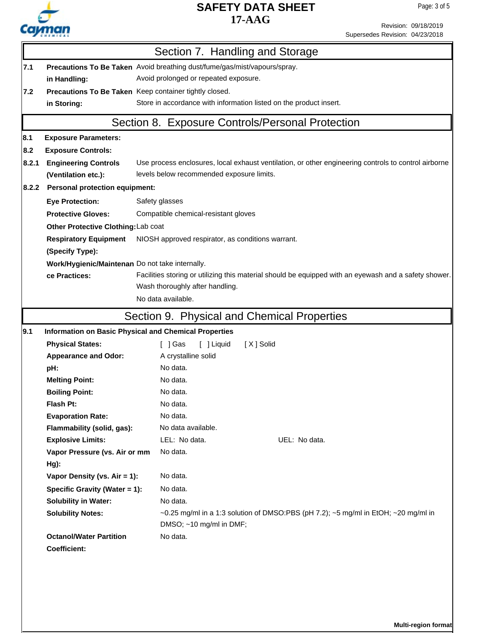

Revision: 09/18/2019

|                                                                                                                        | Supersedes Revision: 04/23/2018                                                                               |  |  |  |  |  |  |
|------------------------------------------------------------------------------------------------------------------------|---------------------------------------------------------------------------------------------------------------|--|--|--|--|--|--|
|                                                                                                                        | Section 7. Handling and Storage                                                                               |  |  |  |  |  |  |
| Precautions To Be Taken Avoid breathing dust/fume/gas/mist/vapours/spray.                                              |                                                                                                               |  |  |  |  |  |  |
|                                                                                                                        | Avoid prolonged or repeated exposure.                                                                         |  |  |  |  |  |  |
|                                                                                                                        | Precautions To Be Taken Keep container tightly closed.                                                        |  |  |  |  |  |  |
|                                                                                                                        | Store in accordance with information listed on the product insert.                                            |  |  |  |  |  |  |
|                                                                                                                        | Section 8. Exposure Controls/Personal Protection                                                              |  |  |  |  |  |  |
| <b>Exposure Parameters:</b>                                                                                            |                                                                                                               |  |  |  |  |  |  |
| <b>Exposure Controls:</b>                                                                                              |                                                                                                               |  |  |  |  |  |  |
| <b>Engineering Controls</b>                                                                                            | Use process enclosures, local exhaust ventilation, or other engineering controls to control airborne          |  |  |  |  |  |  |
| (Ventilation etc.):                                                                                                    | levels below recommended exposure limits.                                                                     |  |  |  |  |  |  |
| <b>Personal protection equipment:</b>                                                                                  |                                                                                                               |  |  |  |  |  |  |
| <b>Eye Protection:</b>                                                                                                 | Safety glasses                                                                                                |  |  |  |  |  |  |
| <b>Protective Gloves:</b>                                                                                              | Compatible chemical-resistant gloves                                                                          |  |  |  |  |  |  |
| Other Protective Clothing: Lab coat                                                                                    |                                                                                                               |  |  |  |  |  |  |
| <b>Respiratory Equipment</b>                                                                                           | NIOSH approved respirator, as conditions warrant.                                                             |  |  |  |  |  |  |
| (Specify Type):                                                                                                        |                                                                                                               |  |  |  |  |  |  |
| Work/Hygienic/Maintenan Do not take internally.                                                                        |                                                                                                               |  |  |  |  |  |  |
| Facilities storing or utilizing this material should be equipped with an eyewash and a safety shower.<br>ce Practices: |                                                                                                               |  |  |  |  |  |  |
| Wash thoroughly after handling.                                                                                        |                                                                                                               |  |  |  |  |  |  |
|                                                                                                                        | No data available.                                                                                            |  |  |  |  |  |  |
|                                                                                                                        | Section 9. Physical and Chemical Properties                                                                   |  |  |  |  |  |  |
|                                                                                                                        | Information on Basic Physical and Chemical Properties                                                         |  |  |  |  |  |  |
| <b>Physical States:</b>                                                                                                | [ ] Gas<br>[ ] Liquid<br>[X] Solid                                                                            |  |  |  |  |  |  |
| <b>Appearance and Odor:</b>                                                                                            | A crystalline solid                                                                                           |  |  |  |  |  |  |
|                                                                                                                        | No data.                                                                                                      |  |  |  |  |  |  |
| <b>Melting Point:</b>                                                                                                  | No data.                                                                                                      |  |  |  |  |  |  |
| <b>Boiling Point:</b>                                                                                                  | No data.                                                                                                      |  |  |  |  |  |  |
|                                                                                                                        | No data.                                                                                                      |  |  |  |  |  |  |
| <b>Evaporation Rate:</b>                                                                                               | No data.                                                                                                      |  |  |  |  |  |  |
| Flammability (solid, gas):                                                                                             | No data available.                                                                                            |  |  |  |  |  |  |
| <b>Explosive Limits:</b>                                                                                               | LEL: No data.<br>UEL: No data.                                                                                |  |  |  |  |  |  |
| Vapor Pressure (vs. Air or mm                                                                                          | No data.                                                                                                      |  |  |  |  |  |  |
|                                                                                                                        |                                                                                                               |  |  |  |  |  |  |
| Vapor Density (vs. Air = 1):                                                                                           | No data.                                                                                                      |  |  |  |  |  |  |
| Specific Gravity (Water = 1):                                                                                          | No data.                                                                                                      |  |  |  |  |  |  |
| <b>Solubility in Water:</b>                                                                                            | No data.                                                                                                      |  |  |  |  |  |  |
| <b>Solubility Notes:</b>                                                                                               | ~0.25 mg/ml in a 1:3 solution of DMSO:PBS (pH 7.2); ~5 mg/ml in EtOH; ~20 mg/ml in<br>DMSO; ~10 mg/ml in DMF; |  |  |  |  |  |  |
| <b>Octanol/Water Partition</b>                                                                                         | No data.                                                                                                      |  |  |  |  |  |  |
|                                                                                                                        |                                                                                                               |  |  |  |  |  |  |
|                                                                                                                        |                                                                                                               |  |  |  |  |  |  |

**Multi-region format**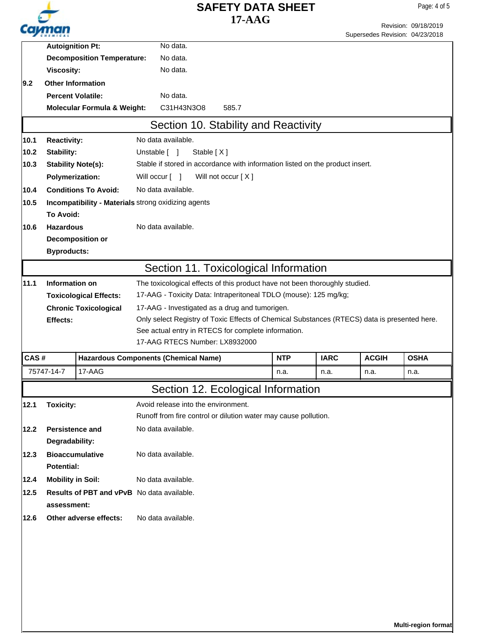|               |                                                                |                                        |                                                                                              | <b>SAFETY DATA SHEET</b>                                                      |          |             |                                 | Page: 4 of 5         |  |
|---------------|----------------------------------------------------------------|----------------------------------------|----------------------------------------------------------------------------------------------|-------------------------------------------------------------------------------|----------|-------------|---------------------------------|----------------------|--|
|               |                                                                |                                        |                                                                                              |                                                                               | $17-AAG$ |             |                                 | Revision: 09/18/2019 |  |
|               |                                                                |                                        |                                                                                              |                                                                               |          |             | Supersedes Revision: 04/23/2018 |                      |  |
|               | <b>Autoignition Pt:</b>                                        |                                        | No data.                                                                                     |                                                                               |          |             |                                 |                      |  |
|               |                                                                | <b>Decomposition Temperature:</b>      | No data.                                                                                     |                                                                               |          |             |                                 |                      |  |
|               | <b>Viscosity:</b>                                              |                                        | No data.                                                                                     |                                                                               |          |             |                                 |                      |  |
| $ 9.2\rangle$ | <b>Other Information</b>                                       |                                        |                                                                                              |                                                                               |          |             |                                 |                      |  |
|               | <b>Percent Volatile:</b>                                       |                                        | No data.                                                                                     |                                                                               |          |             |                                 |                      |  |
|               |                                                                | <b>Molecular Formula &amp; Weight:</b> | C31H43N3O8                                                                                   | 585.7                                                                         |          |             |                                 |                      |  |
|               |                                                                |                                        |                                                                                              | Section 10. Stability and Reactivity                                          |          |             |                                 |                      |  |
| 10.1          | <b>Reactivity:</b>                                             |                                        | No data available.                                                                           |                                                                               |          |             |                                 |                      |  |
| 10.2          | Stability:<br>Unstable [ ]<br>Stable $[X]$                     |                                        |                                                                                              |                                                                               |          |             |                                 |                      |  |
| 10.3          | <b>Stability Note(s):</b>                                      |                                        |                                                                                              | Stable if stored in accordance with information listed on the product insert. |          |             |                                 |                      |  |
|               | <b>Polymerization:</b><br>Will not occur [X]<br>Will occur [ ] |                                        |                                                                                              |                                                                               |          |             |                                 |                      |  |
| 10.4          |                                                                | <b>Conditions To Avoid:</b>            | No data available.                                                                           |                                                                               |          |             |                                 |                      |  |
| 10.5          |                                                                |                                        | Incompatibility - Materials strong oxidizing agents                                          |                                                                               |          |             |                                 |                      |  |
|               | To Avoid:                                                      |                                        |                                                                                              |                                                                               |          |             |                                 |                      |  |
| 10.6          | <b>Hazardous</b>                                               |                                        | No data available.                                                                           |                                                                               |          |             |                                 |                      |  |
|               | <b>Decomposition or</b>                                        |                                        |                                                                                              |                                                                               |          |             |                                 |                      |  |
|               | <b>Byproducts:</b>                                             |                                        |                                                                                              |                                                                               |          |             |                                 |                      |  |
|               |                                                                |                                        |                                                                                              | Section 11. Toxicological Information                                         |          |             |                                 |                      |  |
| 11.1          | <b>Information on</b>                                          |                                        | The toxicological effects of this product have not been thoroughly studied.                  |                                                                               |          |             |                                 |                      |  |
|               |                                                                | <b>Toxicological Effects:</b>          | 17-AAG - Toxicity Data: Intraperitoneal TDLO (mouse): 125 mg/kg;                             |                                                                               |          |             |                                 |                      |  |
|               | <b>Chronic Toxicological</b>                                   |                                        | 17-AAG - Investigated as a drug and tumorigen.                                               |                                                                               |          |             |                                 |                      |  |
|               | Effects:                                                       |                                        | Only select Registry of Toxic Effects of Chemical Substances (RTECS) data is presented here. |                                                                               |          |             |                                 |                      |  |
|               | See actual entry in RTECS for complete information.            |                                        |                                                                                              |                                                                               |          |             |                                 |                      |  |
|               |                                                                |                                        |                                                                                              | 17-AAG RTECS Number: LX8932000                                                |          |             |                                 |                      |  |
| CAS #         |                                                                |                                        | <b>Hazardous Components (Chemical Name)</b>                                                  |                                                                               | NTP      | <b>IARC</b> | <b>ACGIH</b>                    | <b>OSHA</b>          |  |
|               | 75747-14-7                                                     | 17-AAG                                 |                                                                                              |                                                                               | n.a.     | n.a.        | n.a.                            | n.a.                 |  |
|               |                                                                |                                        |                                                                                              | Section 12. Ecological Information                                            |          |             |                                 |                      |  |
| 12.1          | <b>Toxicity:</b>                                               |                                        |                                                                                              | Avoid release into the environment.                                           |          |             |                                 |                      |  |
|               |                                                                |                                        |                                                                                              | Runoff from fire control or dilution water may cause pollution.               |          |             |                                 |                      |  |
| 12.2          | <b>Persistence and</b>                                         |                                        | No data available.                                                                           |                                                                               |          |             |                                 |                      |  |
|               | Degradability:                                                 |                                        |                                                                                              |                                                                               |          |             |                                 |                      |  |
| 12.3          | <b>Bioaccumulative</b>                                         |                                        | No data available.                                                                           |                                                                               |          |             |                                 |                      |  |
|               | Potential:                                                     |                                        |                                                                                              |                                                                               |          |             |                                 |                      |  |
| 12.4          | <b>Mobility in Soil:</b>                                       |                                        | No data available.                                                                           |                                                                               |          |             |                                 |                      |  |
| 12.5          |                                                                |                                        | Results of PBT and vPvB No data available.                                                   |                                                                               |          |             |                                 |                      |  |
|               | assessment:                                                    |                                        |                                                                                              |                                                                               |          |             |                                 |                      |  |
| 12.6          |                                                                | Other adverse effects:                 | No data available.                                                                           |                                                                               |          |             |                                 |                      |  |
|               |                                                                |                                        |                                                                                              |                                                                               |          |             |                                 |                      |  |
|               |                                                                |                                        |                                                                                              |                                                                               |          |             |                                 |                      |  |
|               |                                                                |                                        |                                                                                              |                                                                               |          |             |                                 |                      |  |
|               |                                                                |                                        |                                                                                              |                                                                               |          |             |                                 |                      |  |
|               |                                                                |                                        |                                                                                              |                                                                               |          |             |                                 |                      |  |
|               |                                                                |                                        |                                                                                              |                                                                               |          |             |                                 |                      |  |
|               |                                                                |                                        |                                                                                              |                                                                               |          |             |                                 |                      |  |

**Multi-region format**